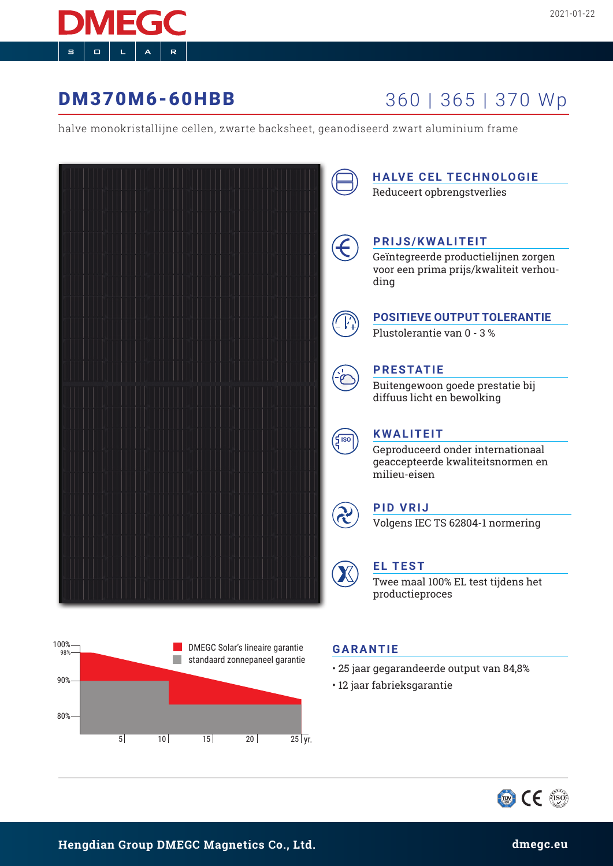# **DM370M6-60HBB** 360 | 365 | 370 Wp

halve monokristallijne cellen, zwarte backsheet, geanodiseerd zwart aluminium frame





## **GARANTIE**

- 25 jaar gegarandeerde output van 84,8%
- 12 jaar fabrieksgarantie

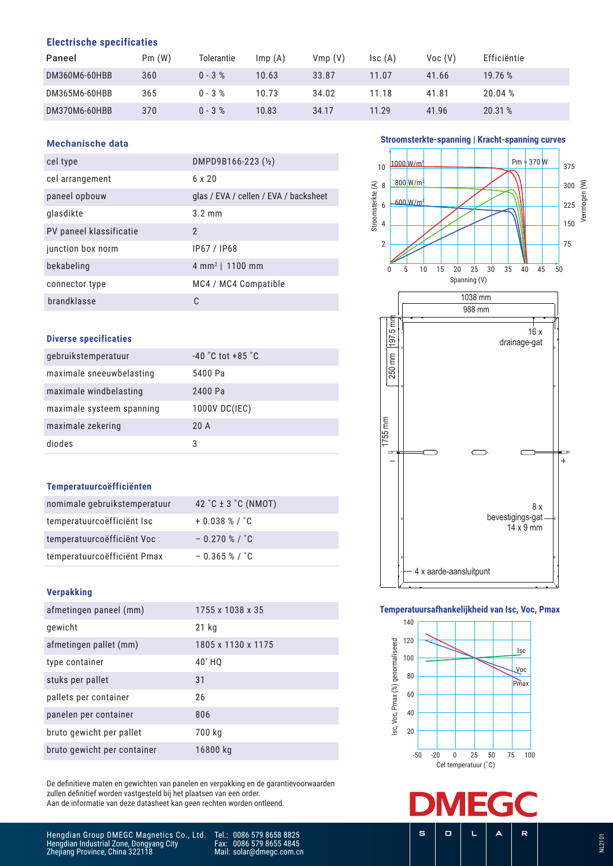### **Electrische specificaties**

| Paneel        | Pm(W) | Tolerantie | Imp(A) | Vmp(V) | $\mathsf{Isc}(\mathsf{A})$ | Voc(V) | Efficiëntie |
|---------------|-------|------------|--------|--------|----------------------------|--------|-------------|
| DM360M6-60HBB | 360   | $0 - 3 %$  | 10.63  | 33.87  | 11.07                      | 41.66  | 19.76 %     |
| DM365M6-60HBB | 365   | $0 - 3 %$  | 10.73  | 34.02  | 11.18                      | 41.81  | 20.04%      |
| DM370M6-60HBB | 370   | $0 - 3 %$  | 10.83  | 34.17  | 11.29                      | 41.96  | 20.31 %     |

#### **Mechanische data**

| cel type                | DMPD9B166-223 (½)                     |
|-------------------------|---------------------------------------|
| cel arrangement         | 6 x 20                                |
| paneel opbouw           | glas / EVA / cellen / EVA / backsheet |
| glasdikte               | $3.2 \text{ mm}$                      |
| PV paneel klassificatie | $\mathfrak{p}$                        |
| junction box norm       | IP67 / IP68                           |
| bekabeling              | 4 mm <sup>2</sup>   1100 mm           |
| connector type          | MC4 / MC4 Compatible                  |
| brandklasse             |                                       |

#### **Diverse specificaties**

| gebruikstemperatuur       | $-40$ °C tot $+85$ °C |
|---------------------------|-----------------------|
| maximale sneeuwbelasting  | 5400 Pa               |
| maximale windbelasting    | 2400 Pa               |
| maximale systeem spanning | 1000V DC(IEC)         |
| maximale zekering         | 20A                   |
| diodes                    | 3                     |

#### **Temperatuurcoëfficiënten**

| nomimale gebruikstemperatuur | 42 °C $\pm$ 3 °C (NMOT)   |
|------------------------------|---------------------------|
| temperatuurcoëfficiënt Isc   | $+0.038$ % / $^{\circ}$ C |
| temperatuurcoëfficiënt Voc   | $-0.270$ % / $^{\circ}$ C |
| temperatuurcoëfficiënt Pmax  | $-0.365$ % / $^{\circ}$ C |

#### **Verpakking**

| afmetingen paneel (mm)      | 1755 x 1038 x 35   |
|-----------------------------|--------------------|
| gewicht                     | 21 kg              |
| afmetingen pallet (mm)      | 1805 x 1130 x 1175 |
| type container              | 40' HO             |
| stuks per pallet            | 31                 |
| pallets per container       | 26                 |
| panelen per container       | 806                |
| bruto gewicht per pallet    | 700 kg             |
| bruto gewicht per container | 16800 kg           |

De definitieve maten en gewichten van panelen en verpakking en de garantievoorwaarden zullen definitief worden vastgesteld bij het plaatsen van een order. Aan de informatie van deze datasheet kan geen rechten worden ontleend.

#### **Stroomsterkte-spanning | Kracht-spanning curves**



#### **Temperatuursafhankelijkheid van Isc, Voc, Pmax**